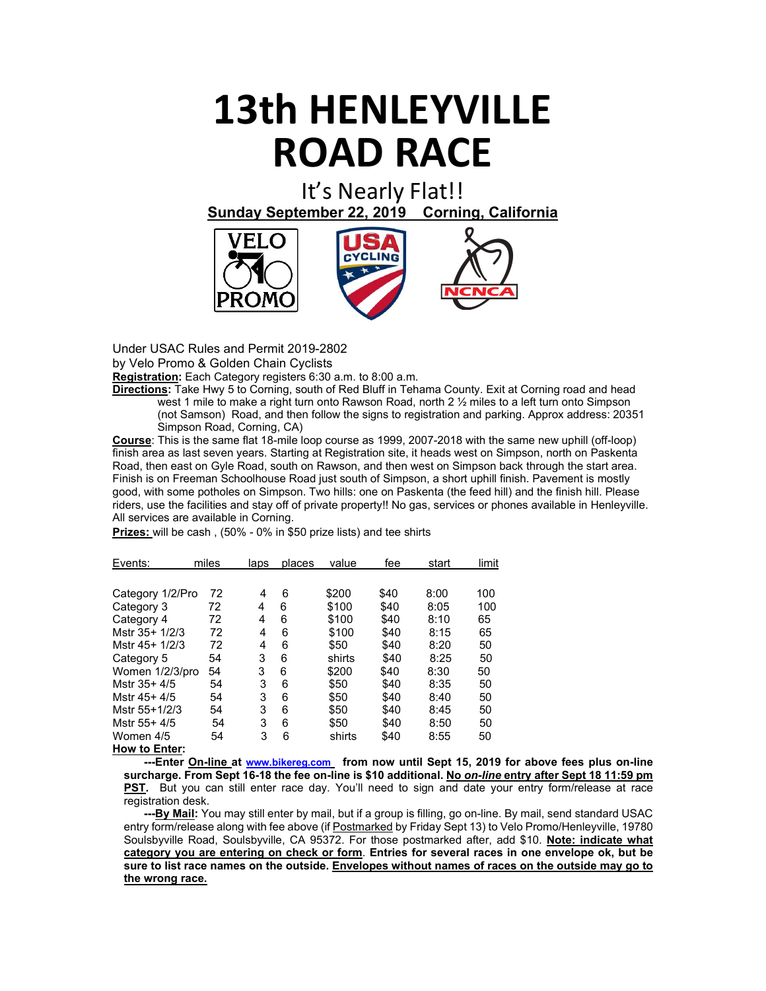## **13th HENLEYVILLE ROAD RACE**

It's Nearly Flat!! **Sunday September 22, 2019 Corning, California**



Under USAC Rules and Permit 2019-2802

by Velo Promo & Golden Chain Cyclists

**Registration:** Each Category registers 6:30 a.m. to 8:00 a.m.

**Directions:** Take Hwy 5 to Corning, south of Red Bluff in Tehama County. Exit at Corning road and head west 1 mile to make a right turn onto Rawson Road, north 2  $\frac{1}{2}$  miles to a left turn onto Simpson (not Samson) Road, and then follow the signs to registration and parking. Approx address: 20351 Simpson Road, Corning, CA)

**Course**: This is the same flat 18-mile loop course as 1999, 2007-2018 with the same new uphill (off-loop) finish area as last seven years. Starting at Registration site, it heads west on Simpson, north on Paskenta Road, then east on Gyle Road, south on Rawson, and then west on Simpson back through the start area. Finish is on Freeman Schoolhouse Road just south of Simpson, a short uphill finish. Pavement is mostly good, with some potholes on Simpson. Two hills: one on Paskenta (the feed hill) and the finish hill. Please riders, use the facilities and stay off of private property!! No gas, services or phones available in Henleyville. All services are available in Corning.

| Events:          | miles | laps | places | value  | fee  | start | limit |
|------------------|-------|------|--------|--------|------|-------|-------|
|                  |       |      |        |        |      |       |       |
| Category 1/2/Pro | 72    | 4    | 6      | \$200  | \$40 | 8:00  | 100   |
| Category 3       | 72    | 4    | 6      | \$100  | \$40 | 8:05  | 100   |
| Category 4       | 72    | 4    | 6      | \$100  | \$40 | 8:10  | 65    |
| Mstr 35+ 1/2/3   | 72    | 4    | 6      | \$100  | \$40 | 8:15  | 65    |
| Mstr 45+ 1/2/3   | 72    | 4    | 6      | \$50   | \$40 | 8:20  | 50    |
| Category 5       | 54    | 3    | 6      | shirts | \$40 | 8:25  | 50    |
| Women 1/2/3/pro  | 54    | 3    | 6      | \$200  | \$40 | 8:30  | 50    |
| Mstr 35+ 4/5     | 54    | 3    | 6      | \$50   | \$40 | 8:35  | 50    |
| Mstr 45+4/5      | 54    | 3    | 6      | \$50   | \$40 | 8:40  | 50    |
| Mstr 55+1/2/3    | 54    | 3    | 6      | \$50   | \$40 | 8:45  | 50    |
| Mstr 55+ 4/5     | 54    | 3    | 6      | \$50   | \$40 | 8:50  | 50    |
| Women 4/5        | 54    | 3    | 6      | shirts | \$40 | 8:55  | 50    |
| How to Enter:    |       |      |        |        |      |       |       |

**Prizes:** will be cash , (50% - 0% in \$50 prize lists) and tee shirts

 **---Enter On-line at [www.bikereg.com](http://www.bikereg.com/) from now until Sept 15, 2019 for above fees plus on-line surcharge. From Sept 16-18 the fee on-line is \$10 additional. No** *on-line* **entry after Sept 18 11:59 pm PST.** But you can still enter race day. You'll need to sign and date your entry form/release at race registration desk.

 **---By Mail:** You may still enter by mail, but if a group is filling, go on-line. By mail, send standard USAC entry form/release along with fee above (if Postmarked by Friday Sept 13) to Velo Promo/Henleyville, 19780 Soulsbyville Road, Soulsbyville, CA 95372. For those postmarked after, add \$10. **Note: indicate what category you are entering on check or form**. **Entries for several races in one envelope ok, but be sure to list race names on the outside. Envelopes without names of races on the outside may go to the wrong race.**